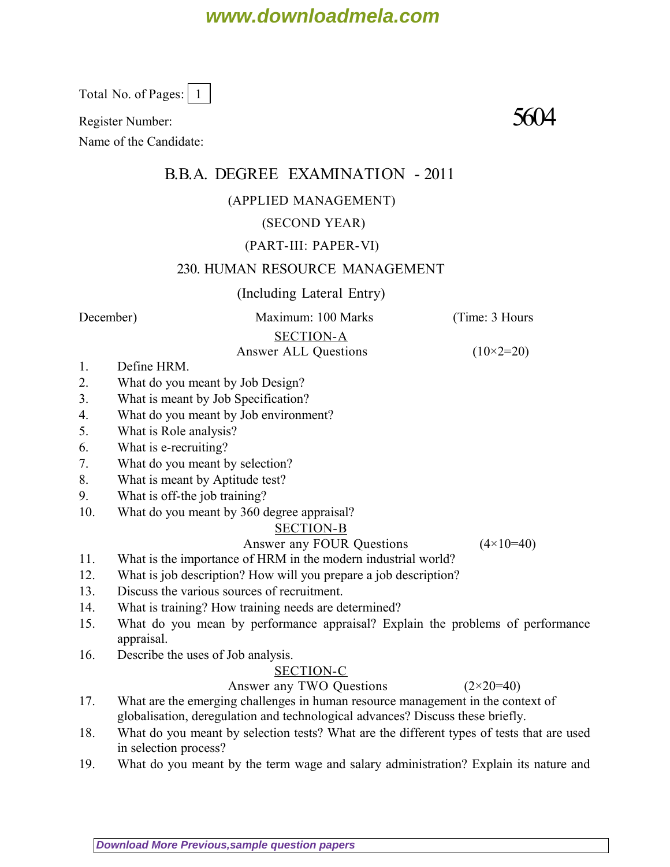# **www.downloadmela.com**

Total No. of Pages: | 1

Register Number:  $5604$ 

Name of the Candidate:

## B.B.A. DEGREE EXAMINATION - 2011

#### (APPLIED MANAGEMENT)

#### (SECOND YEAR)

#### (PART-III: PAPER-VI)

#### 230. HUMAN RESOURCE MANAGEMENT

#### (Including Lateral Entry)

*December*) Maximum: 100 Marks (*Time: 3 Hours*

### SECTION-A

Answer ALL Questions  $(10\times2=20)$ 

- 1. Define HRM.
- 2. What do you meant by Job Design?
- 3. What is meant by Job Specification?
- 4. What do you meant by Job environment?
- 5. What is Role analysis?
- 6. What is e-recruiting?
- 7. What do you meant by selection?
- 8. What is meant by Aptitude test?
- 9. What is off-the job training?
- 10. What do you meant by 360 degree appraisal?

#### SECTION-B

Answer any FOUR Questions  $(4 \times 10=40)$ 

- 11. What is the importance of HRM in the modern industrial world?
- 12. What is job description? How will you prepare a job description?
- 13. Discuss the various sources of recruitment.
- 14. What is training? How training needs are determined?
- 15. What do you mean by performance appraisal? Explain the problems of performance appraisal.
- 16. Describe the uses of Job analysis.

#### SECTION-C

#### Answer any TWO Questions  $(2 \times 20=40)$

- 17. What are the emerging challenges in human resource management in the context of globalisation, deregulation and technological advances? Discuss these briefly.
- 18. What do you meant by selection tests? What are the different types of tests that are used in selection process?
- 19. What do you meant by the term wage and salary administration? Explain its nature and